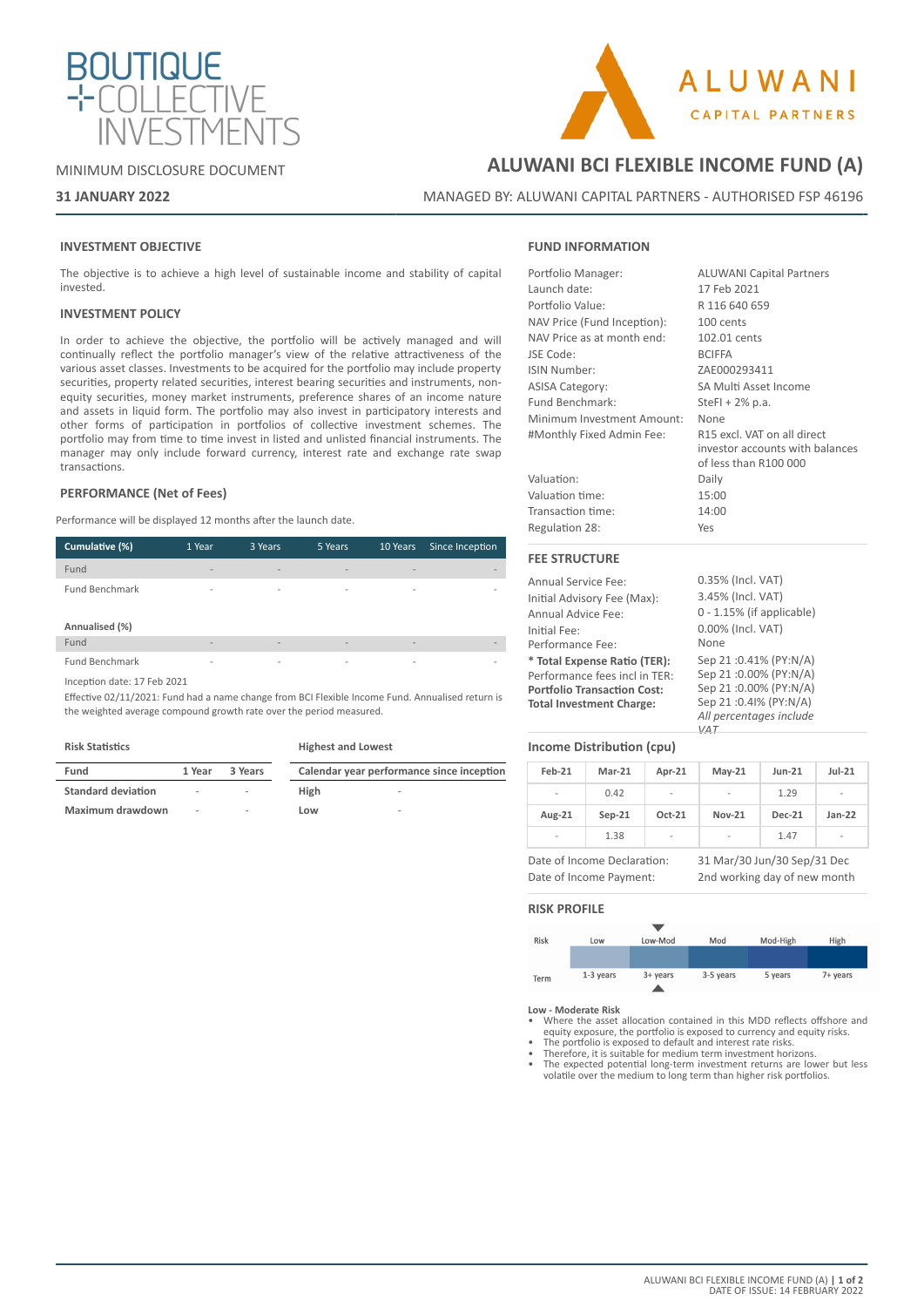

### MINIMUM DISCLOSURE DOCUMENT

# ALUWANI **CAPITAL PARTNERS**

### **31 JANUARY 2022**

### **ALUWANI BCI FLEXIBLE INCOME FUND (A)**

MANAGED BY: ALUWANI CAPITAL PARTNERS - AUTHORISED FSP 46196

### **INVESTMENT OBJECTIVE**

The objective is to achieve a high level of sustainable income and stability of capital invested.

### **INVESTMENT POLICY**

In order to achieve the objective, the portfolio will be actively managed and will continually reflect the portfolio manager's view of the relative attractiveness of the various asset classes. Investments to be acquired for the portfolio may include property securities, property related securities, interest bearing securities and instruments, nonequity securities, money market instruments, preference shares of an income nature and assets in liquid form. The portfolio may also invest in participatory interests and other forms of participation in portfolios of collective investment schemes. The portfolio may from time to time invest in listed and unlisted financial instruments. The manager may only include forward currency, interest rate and exchange rate swap transactions.

### **PERFORMANCE (Net of Fees)**

Performance will be displayed 12 months after the launch date.

| Cumulative (%)                          | 1 Year                   | 3 Years                      | 5 Years                      | 10 Years                 | Since Inception          |
|-----------------------------------------|--------------------------|------------------------------|------------------------------|--------------------------|--------------------------|
| Fund                                    | $\overline{\phantom{a}}$ | $\qquad \qquad \blacksquare$ | $\qquad \qquad \blacksquare$ | $\overline{\phantom{a}}$ | $\overline{\phantom{a}}$ |
| <b>Fund Benchmark</b><br>Annualised (%) | -                        | $\overline{\phantom{a}}$     | $\overline{\phantom{a}}$     | $\overline{\phantom{a}}$ | $\overline{\phantom{a}}$ |
| Fund                                    | $\overline{a}$           | $\overline{\phantom{a}}$     | $\overline{\phantom{a}}$     | $\overline{\phantom{0}}$ | $\overline{\phantom{a}}$ |
| <b>Fund Benchmark</b>                   | $\overline{\phantom{a}}$ | $\overline{\phantom{a}}$     | $\blacksquare$               | $\overline{\phantom{a}}$ | $\overline{\phantom{a}}$ |

Inception date: 17 Feb 2021

Effective 02/11/2021: Fund had a name change from BCI Flexible Income Fund. Annualised return is the weighted average compound growth rate over the period measured.

### **Risk Statistics**

**Highest and Lowest**

| Fund                      | 1 Year | 3 Years                  | Calendar year performance since inception |        |
|---------------------------|--------|--------------------------|-------------------------------------------|--------|
| <b>Standard deviation</b> | $\sim$ | $\overline{\phantom{a}}$ | High                                      | $\sim$ |
| Maximum drawdown          | ۰      | $\overline{\phantom{a}}$ | Low                                       | $\sim$ |

### **FUND INFORMATION**

| Portfolio Manager:          | <b>ALUWANI Capital Partners</b>                                                         |
|-----------------------------|-----------------------------------------------------------------------------------------|
| Launch date:                | 17 Feb 2021                                                                             |
| Portfolio Value:            | R 116 640 659                                                                           |
| NAV Price (Fund Inception): | 100 cents                                                                               |
| NAV Price as at month end:  | 102.01 cents                                                                            |
| JSE Code:                   | <b>BCIFFA</b>                                                                           |
| ISIN Number:                | ZAE000293411                                                                            |
| <b>ASISA Category:</b>      | SA Multi Asset Income                                                                   |
| Fund Benchmark:             | SteFI + $2\%$ p.a.                                                                      |
| Minimum Investment Amount:  | None                                                                                    |
| #Monthly Fixed Admin Fee:   | R15 excl. VAT on all direct<br>investor accounts with balances<br>of less than R100 000 |
| Valuation:                  | Daily                                                                                   |
| Valuation time:             | 15:00                                                                                   |
| Transaction time:           | 14:00                                                                                   |
| Regulation 28:              | Yes                                                                                     |
| <b>FEE STRUCTURE</b>        |                                                                                         |
|                             | 0.000111111100                                                                          |

Annual Service Fee: Initial Advisory Fee (Max): Annual Advice Fee: Initial Fee: Performance Fee: **\* Total Expense Ratio (TER):** Performance fees incl in TER: **Portfolio Transaction Cost: Total Investment Charge:** 0.35% (Incl. VAT) 3.45% (Incl. VAT) 0 - 1.15% (if applicable) 0.00% (Incl. VAT) None Sep 21 :0.41% (PY:N/A) Sep 21 :0.00% (PY:N/A) Sep 21 :0.00% (PY:N/A) Sep 21 :0.4I% (PY:N/A) *All percentages include* 

### **Income Distribution (cpu)**

| Feb-21         | $Mar-21$ | Apr-21                   | $May-21$       | $Jun-21$      | $Jul-21$       |
|----------------|----------|--------------------------|----------------|---------------|----------------|
| $\overline{a}$ | 0.42     | $\overline{\phantom{0}}$ | $\overline{a}$ | 1.29          | $\blacksquare$ |
| Aug-21         | $Sep-21$ | Oct-21                   | <b>Nov-21</b>  | <b>Dec-21</b> | $Jan-22$       |
| -              | 1.38     | ٠                        | ٠              | 1.47          | $\blacksquare$ |

*VAT*

Date of Income Declaration: 31 Mar/30 Jun/30 Sep/31 Dec Date of Income Payment: 2nd working day of new month

### **RISK PROFILE**



**Low - Moderate Risk** • Where the asset allocation contained in this MDD reflects offshore and equity exposure, the portfolio is exposed to currency and equity risks.

The portfolio is exposed to default and interest rate risks.

• Therefore, it is suitable for medium term investment horizons.

• The expected potential long-term investment returns are lower but less volatile over the medium to long term than higher risk portfolios.